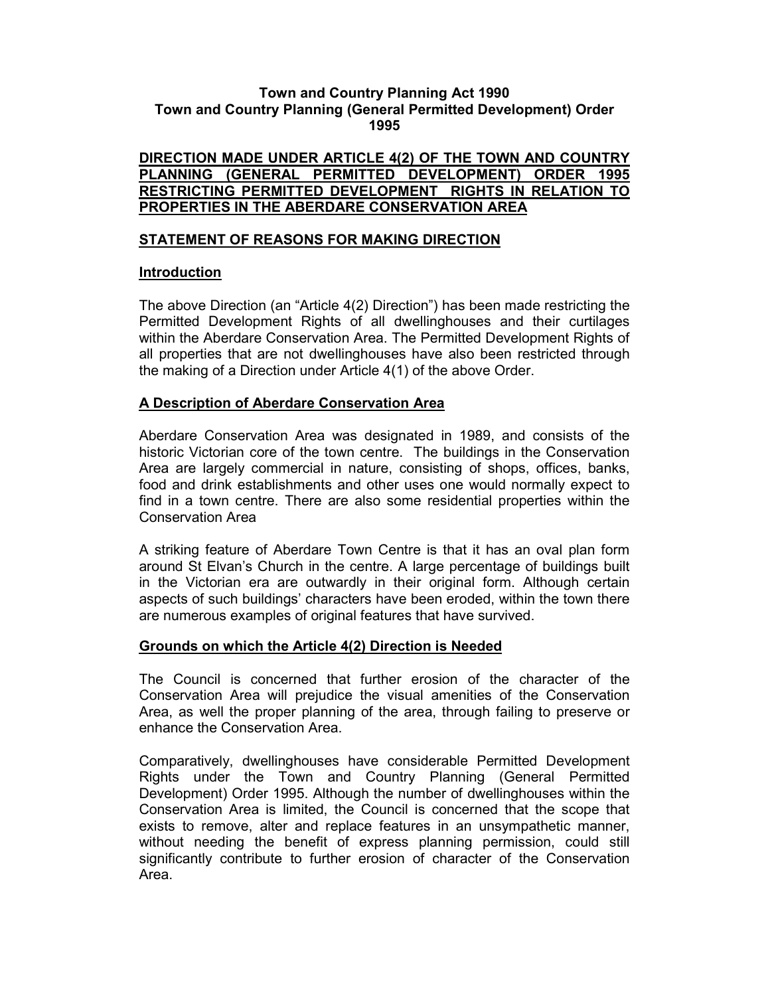# Town and Country Planning Act 1990 Town and Country Planning (General Permitted Development) Order 1995

#### DIRECTION MADE UNDER ARTICLE 4(2) OF THE TOWN AND COUNTRY PLANNING (GENERAL PERMITTED DEVELOPMENT) ORDER 1995 RESTRICTING PERMITTED DEVELOPMENT RIGHTS IN RELATION TO PROPERTIES IN THE ABERDARE CONSERVATION AREA

# STATEMENT OF REASONS FOR MAKING DIRECTION

# Introduction

The above Direction (an "Article 4(2) Direction") has been made restricting the Permitted Development Rights of all dwellinghouses and their curtilages within the Aberdare Conservation Area. The Permitted Development Rights of all properties that are not dwellinghouses have also been restricted through the making of a Direction under Article 4(1) of the above Order.

# A Description of Aberdare Conservation Area

Aberdare Conservation Area was designated in 1989, and consists of the historic Victorian core of the town centre. The buildings in the Conservation Area are largely commercial in nature, consisting of shops, offices, banks, food and drink establishments and other uses one would normally expect to find in a town centre. There are also some residential properties within the Conservation Area

A striking feature of Aberdare Town Centre is that it has an oval plan form around St Elvan's Church in the centre. A large percentage of buildings built in the Victorian era are outwardly in their original form. Although certain aspects of such buildings' characters have been eroded, within the town there are numerous examples of original features that have survived.

# Grounds on which the Article 4(2) Direction is Needed

The Council is concerned that further erosion of the character of the Conservation Area will prejudice the visual amenities of the Conservation Area, as well the proper planning of the area, through failing to preserve or enhance the Conservation Area.

Comparatively, dwellinghouses have considerable Permitted Development Rights under the Town and Country Planning (General Permitted Development) Order 1995. Although the number of dwellinghouses within the Conservation Area is limited, the Council is concerned that the scope that exists to remove, alter and replace features in an unsympathetic manner, without needing the benefit of express planning permission, could still significantly contribute to further erosion of character of the Conservation Area.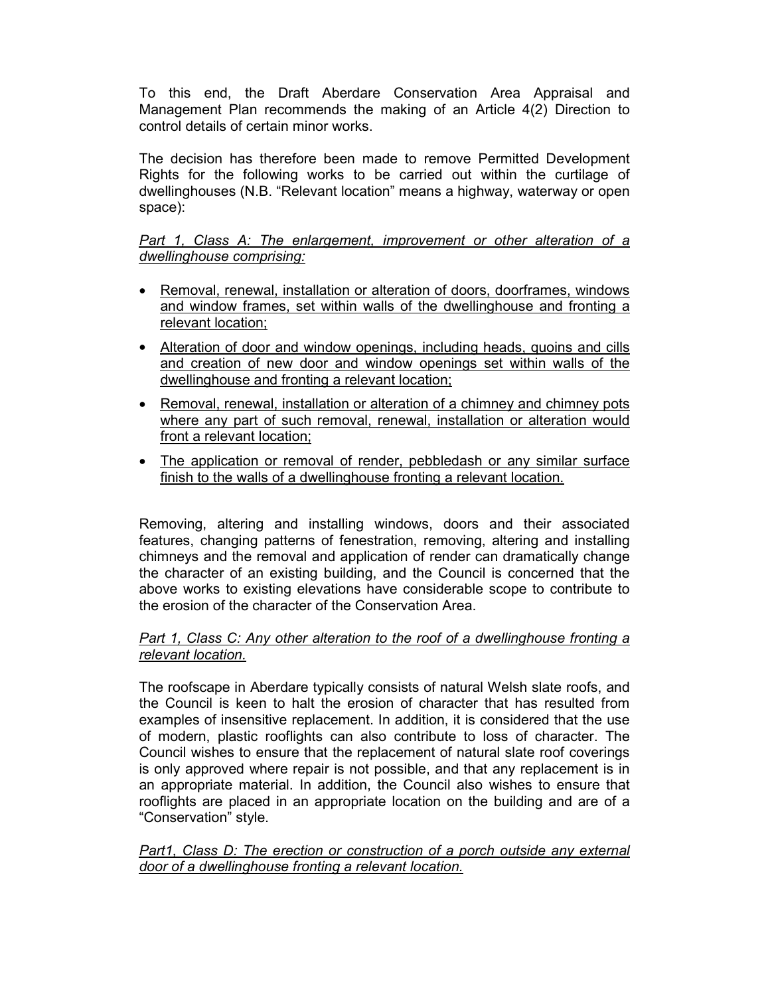To this end, the Draft Aberdare Conservation Area Appraisal and Management Plan recommends the making of an Article 4(2) Direction to control details of certain minor works.

The decision has therefore been made to remove Permitted Development Rights for the following works to be carried out within the curtilage of dwellinghouses (N.B. "Relevant location" means a highway, waterway or open space):

# Part 1, Class A: The enlargement, improvement or other alteration of a dwellinghouse comprising:

- Removal, renewal, installation or alteration of doors, doorframes, windows and window frames, set within walls of the dwellinghouse and fronting a relevant location;
- Alteration of door and window openings, including heads, quoins and cills and creation of new door and window openings set within walls of the dwellinghouse and fronting a relevant location;
- Removal, renewal, installation or alteration of a chimney and chimney pots where any part of such removal, renewal, installation or alteration would front a relevant location;
- The application or removal of render, pebbledash or any similar surface finish to the walls of a dwellinghouse fronting a relevant location.

Removing, altering and installing windows, doors and their associated features, changing patterns of fenestration, removing, altering and installing chimneys and the removal and application of render can dramatically change the character of an existing building, and the Council is concerned that the above works to existing elevations have considerable scope to contribute to the erosion of the character of the Conservation Area.

#### Part 1, Class C: Any other alteration to the roof of a dwellinghouse fronting a relevant location.

The roofscape in Aberdare typically consists of natural Welsh slate roofs, and the Council is keen to halt the erosion of character that has resulted from examples of insensitive replacement. In addition, it is considered that the use of modern, plastic rooflights can also contribute to loss of character. The Council wishes to ensure that the replacement of natural slate roof coverings is only approved where repair is not possible, and that any replacement is in an appropriate material. In addition, the Council also wishes to ensure that rooflights are placed in an appropriate location on the building and are of a "Conservation" style.

# Part1, Class D: The erection or construction of a porch outside any external door of a dwellinghouse fronting a relevant location.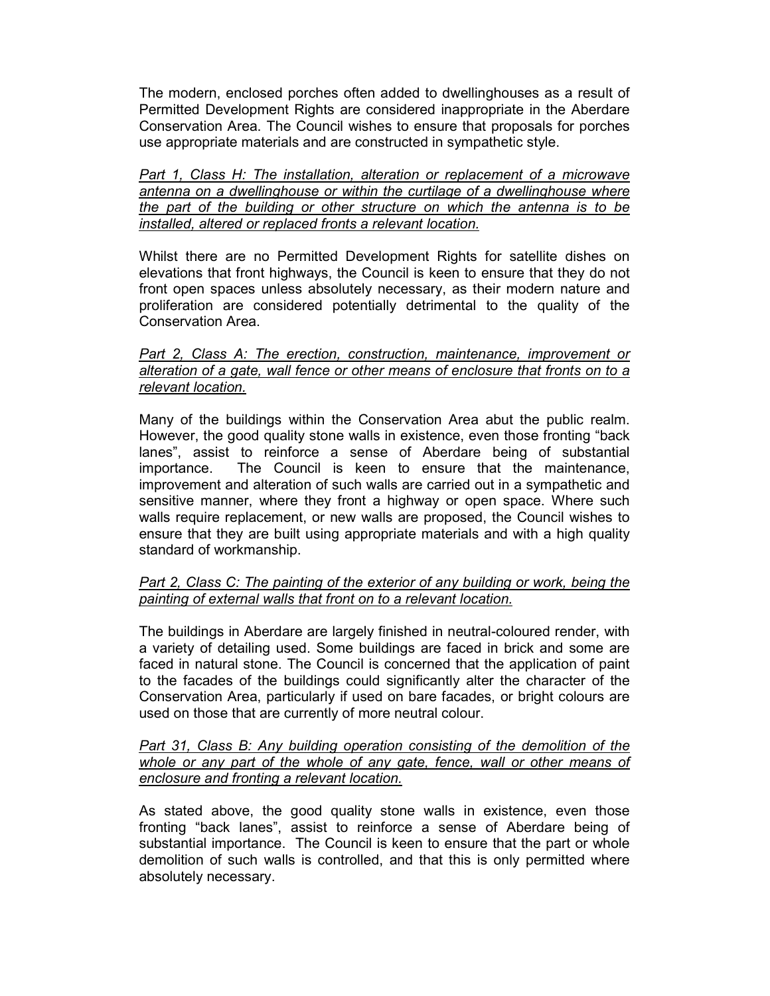The modern, enclosed porches often added to dwellinghouses as a result of Permitted Development Rights are considered inappropriate in the Aberdare Conservation Area. The Council wishes to ensure that proposals for porches use appropriate materials and are constructed in sympathetic style.

Part 1, Class H: The installation, alteration or replacement of a microwave antenna on a dwellinghouse or within the curtilage of a dwellinghouse where the part of the building or other structure on which the antenna is to be installed, altered or replaced fronts a relevant location.

Whilst there are no Permitted Development Rights for satellite dishes on elevations that front highways, the Council is keen to ensure that they do not front open spaces unless absolutely necessary, as their modern nature and proliferation are considered potentially detrimental to the quality of the Conservation Area.

#### Part 2, Class A: The erection, construction, maintenance, improvement or alteration of a gate, wall fence or other means of enclosure that fronts on to a relevant location.

Many of the buildings within the Conservation Area abut the public realm. However, the good quality stone walls in existence, even those fronting "back lanes", assist to reinforce a sense of Aberdare being of substantial importance. The Council is keen to ensure that the maintenance, improvement and alteration of such walls are carried out in a sympathetic and sensitive manner, where they front a highway or open space. Where such walls require replacement, or new walls are proposed, the Council wishes to ensure that they are built using appropriate materials and with a high quality standard of workmanship.

# Part 2, Class C: The painting of the exterior of any building or work, being the painting of external walls that front on to a relevant location.

The buildings in Aberdare are largely finished in neutral-coloured render, with a variety of detailing used. Some buildings are faced in brick and some are faced in natural stone. The Council is concerned that the application of paint to the facades of the buildings could significantly alter the character of the Conservation Area, particularly if used on bare facades, or bright colours are used on those that are currently of more neutral colour.

#### Part 31, Class B: Any building operation consisting of the demolition of the whole or any part of the whole of any gate, fence, wall or other means of enclosure and fronting a relevant location.

As stated above, the good quality stone walls in existence, even those fronting "back lanes", assist to reinforce a sense of Aberdare being of substantial importance. The Council is keen to ensure that the part or whole demolition of such walls is controlled, and that this is only permitted where absolutely necessary.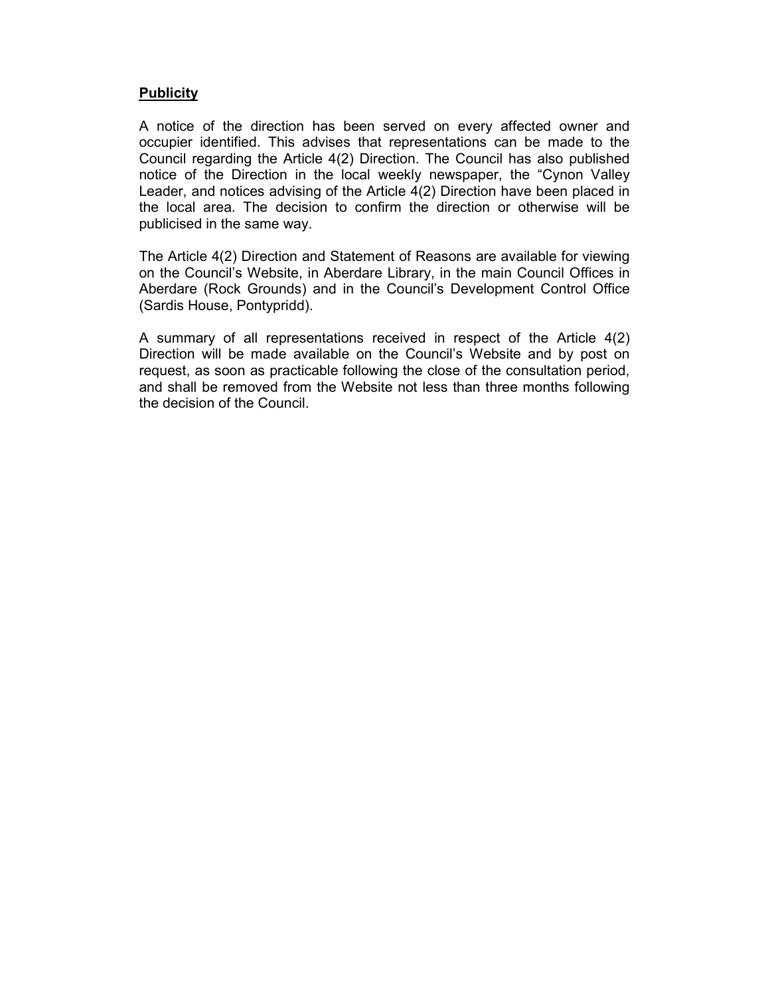# **Publicity**

A notice of the direction has been served on every affected owner and occupier identified. This advises that representations can be made to the Council regarding the Article 4(2) Direction. The Council has also published notice of the Direction in the local weekly newspaper, the "Cynon Valley Leader, and notices advising of the Article 4(2) Direction have been placed in the local area. The decision to confirm the direction or otherwise will be publicised in the same way.

The Article 4(2) Direction and Statement of Reasons are available for viewing on the Council's Website, in Aberdare Library, in the main Council Offices in Aberdare (Rock Grounds) and in the Council's Development Control Office (Sardis House, Pontypridd).

A summary of all representations received in respect of the Article 4(2) Direction will be made available on the Council's Website and by post on request, as soon as practicable following the close of the consultation period, and shall be removed from the Website not less than three months following the decision of the Council.